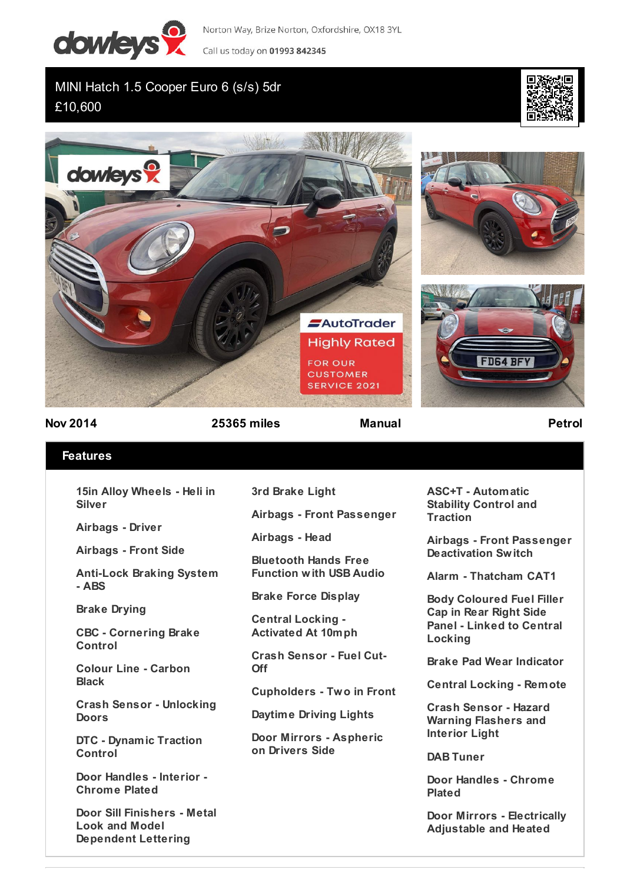

Norton Way, Brize Norton, Oxfordshire, OX18 3YL Call us today on 01993 842345

MINI Hatch 1.5 Cooper Euro 6 (s/s) 5dr £10,600





**Nov 2014 25365 miles Manual Petrol**

## **Features**

**15in Alloy Wheels - Heli in Silver**

**Airbags - Driver**

**Airbags - Front Side**

**Anti-Lock Braking System - ABS**

**Brake Drying**

**CBC - Cornering Brake Control**

**Colour Line - Carbon Black**

**Crash Sensor - Unlocking Doors**

**DTC - Dynamic Traction Control**

**Door Handles - Interior - Chrome Plated**

**Door Sill Finishers - Metal Look and Model Dependent Lettering**

**3rd Brake Light**

**Airbags - Front Passenger**

**Airbags - Head**

**Bluetooth Hands Free Function with USB Audio**

**Brake Force Display**

**Central Locking - Activated At 10mph**

**Crash Sensor - Fuel Cut-Off**

**Cupholders - Two in Front**

**Daytime Driving Lights**

**Door Mirrors - Aspheric on Drivers Side**

**ASC+T - Automatic Stability Control and Traction**

**Airbags - Front Passenger Deactivation Switch**

**Alarm - Thatcham CAT1**

**Body Coloured Fuel Filler Cap in Rear Right Side Panel - Linked to Central Locking**

**Brake Pad Wear Indicator**

**Central Locking - Remote**

**Crash Sensor - Hazard Warning Flashers and Interior Light**

**DAB Tuner**

**Door Handles - Chrome Plated**

**Door Mirrors - Electrically Adjustable and Heated**